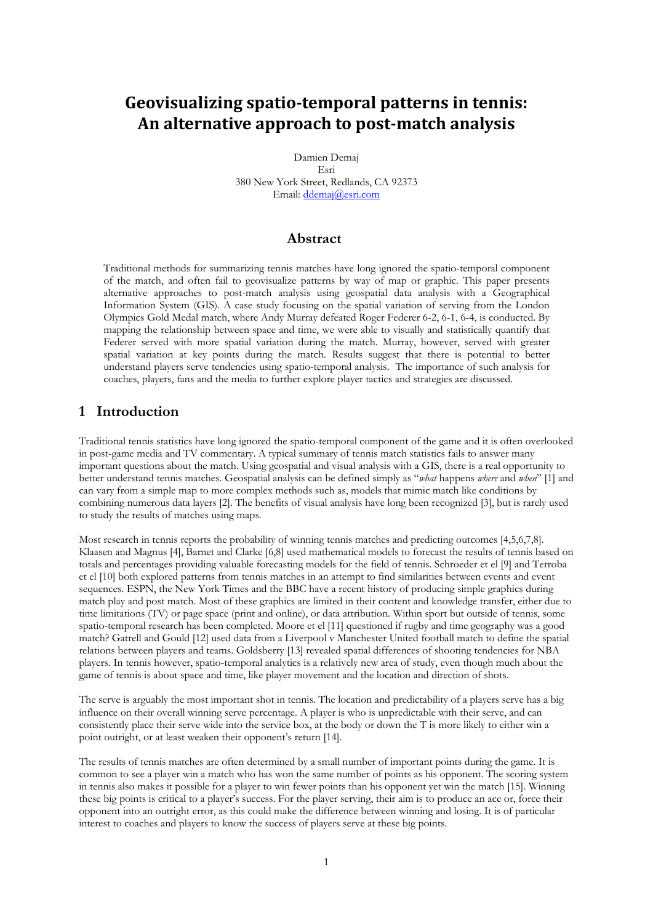# Geovisualizing spatio-temporal patterns in tennis: **An alternative approach to post‐match analysis**

Damien Demaj

Esri 380 New York Street, Redlands, CA 92373 Email: ddemaj@esri.com

### **Abstract**

Traditional methods for summarizing tennis matches have long ignored the spatio-temporal component of the match, and often fail to geovisualize patterns by way of map or graphic. This paper presents alternative approaches to post-match analysis using geospatial data analysis with a Geographical Information System (GIS). A case study focusing on the spatial variation of serving from the London Olympics Gold Medal match, where Andy Murray defeated Roger Federer 6-2, 6-1, 6-4, is conducted. By mapping the relationship between space and time, we were able to visually and statistically quantify that Federer served with more spatial variation during the match. Murray, however, served with greater spatial variation at key points during the match. Results suggest that there is potential to better understand players serve tendencies using spatio-temporal analysis. The importance of such analysis for coaches, players, fans and the media to further explore player tactics and strategies are discussed.

## **1 Introduction**

Traditional tennis statistics have long ignored the spatio-temporal component of the game and it is often overlooked in post-game media and TV commentary. A typical summary of tennis match statistics fails to answer many important questions about the match. Using geospatial and visual analysis with a GIS, there is a real opportunity to better understand tennis matches. Geospatial analysis can be defined simply as "*what* happens *where* and *when*" [1] and can vary from a simple map to more complex methods such as, models that mimic match like conditions by combining numerous data layers [2]. The benefits of visual analysis have long been recognized [3], but is rarely used to study the results of matches using maps.

Most research in tennis reports the probability of winning tennis matches and predicting outcomes [4,5,6,7,8]. Klaasen and Magnus [4], Barnet and Clarke [6,8] used mathematical models to forecast the results of tennis based on totals and percentages providing valuable forecasting models for the field of tennis. Schroeder et el [9] and Terroba et el [10] both explored patterns from tennis matches in an attempt to find similarities between events and event sequences. ESPN, the New York Times and the BBC have a recent history of producing simple graphics during match play and post match. Most of these graphics are limited in their content and knowledge transfer, either due to time limitations (TV) or page space (print and online), or data attribution. Within sport but outside of tennis, some spatio-temporal research has been completed. Moore et el [11] questioned if rugby and time geography was a good match? Gatrell and Gould [12] used data from a Liverpool v Manchester United football match to define the spatial relations between players and teams. Goldsberry [13] revealed spatial differences of shooting tendencies for NBA players. In tennis however, spatio-temporal analytics is a relatively new area of study, even though much about the game of tennis is about space and time, like player movement and the location and direction of shots.

The serve is arguably the most important shot in tennis. The location and predictability of a players serve has a big influence on their overall winning serve percentage. A player is who is unpredictable with their serve, and can consistently place their serve wide into the service box, at the body or down the T is more likely to either win a point outright, or at least weaken their opponent's return [14].

The results of tennis matches are often determined by a small number of important points during the game. It is common to see a player win a match who has won the same number of points as his opponent. The scoring system in tennis also makes it possible for a player to win fewer points than his opponent yet win the match [15]. Winning these big points is critical to a player's success. For the player serving, their aim is to produce an ace or, force their opponent into an outright error, as this could make the difference between winning and losing. It is of particular interest to coaches and players to know the success of players serve at these big points.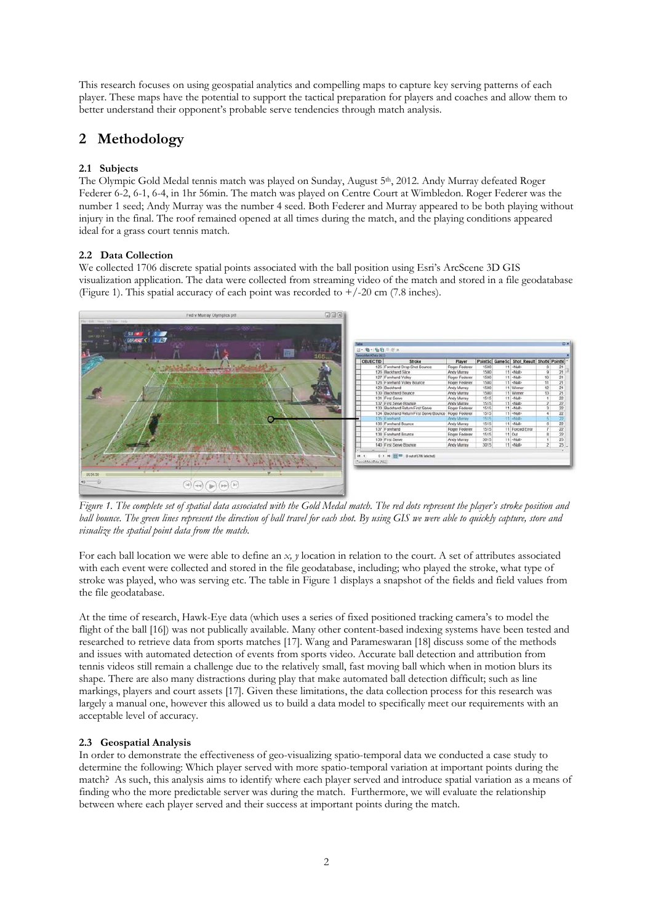This research focuses on using geospatial analytics and compelling maps to capture key serving patterns of each player. These maps have the potential to support the tactical preparation for players and coaches and allow them to better understand their opponent's probable serve tendencies through match analysis.

## **2 Methodology**

#### **2.1 Subjects**

The Olympic Gold Medal tennis match was played on Sunday, August 5<sup>th</sup>, 2012. Andy Murray defeated Roger Federer 6-2, 6-1, 6-4, in 1hr 56min. The match was played on Centre Court at Wimbledon. Roger Federer was the number 1 seed; Andy Murray was the number 4 seed. Both Federer and Murray appeared to be both playing without injury in the final. The roof remained opened at all times during the match, and the playing conditions appeared ideal for a grass court tennis match.

#### **2.2 Data Collection**

We collected 1706 discrete spatial points associated with the ball position using Esri's ArcScene 3D GIS visualization application. The data were collected from streaming video of the match and stored in a file geodatabase (Figure 1). This spatial accuracy of each point was recorded to  $+/-20$  cm (7.8 inches).



*Figure 1. The complete set of spatial data associated with the Gold Medal match. The red dots represent the player's stroke position and ball bounce. The green lines represent the direction of ball travel for each shot. By using GIS we were able to quickly capture, store and visualize the spatial point data from the match.*

For each ball location we were able to define an *x, y* location in relation to the court. A set of attributes associated with each event were collected and stored in the file geodatabase, including; who played the stroke, what type of stroke was played, who was serving etc. The table in Figure 1 displays a snapshot of the fields and field values from the file geodatabase.

At the time of research, Hawk-Eye data (which uses a series of fixed positioned tracking camera's to model the flight of the ball [16]) was not publically available. Many other content-based indexing systems have been tested and researched to retrieve data from sports matches [17]. Wang and Parameswaran [18] discuss some of the methods and issues with automated detection of events from sports video. Accurate ball detection and attribution from tennis videos still remain a challenge due to the relatively small, fast moving ball which when in motion blurs its shape. There are also many distractions during play that make automated ball detection difficult; such as line markings, players and court assets [17]. Given these limitations, the data collection process for this research was largely a manual one, however this allowed us to build a data model to specifically meet our requirements with an acceptable level of accuracy.

#### **2.3 Geospatial Analysis**

In order to demonstrate the effectiveness of geo-visualizing spatio-temporal data we conducted a case study to determine the following: Which player served with more spatio-temporal variation at important points during the match? As such, this analysis aims to identify where each player served and introduce spatial variation as a means of finding who the more predictable server was during the match. Furthermore, we will evaluate the relationship between where each player served and their success at important points during the match.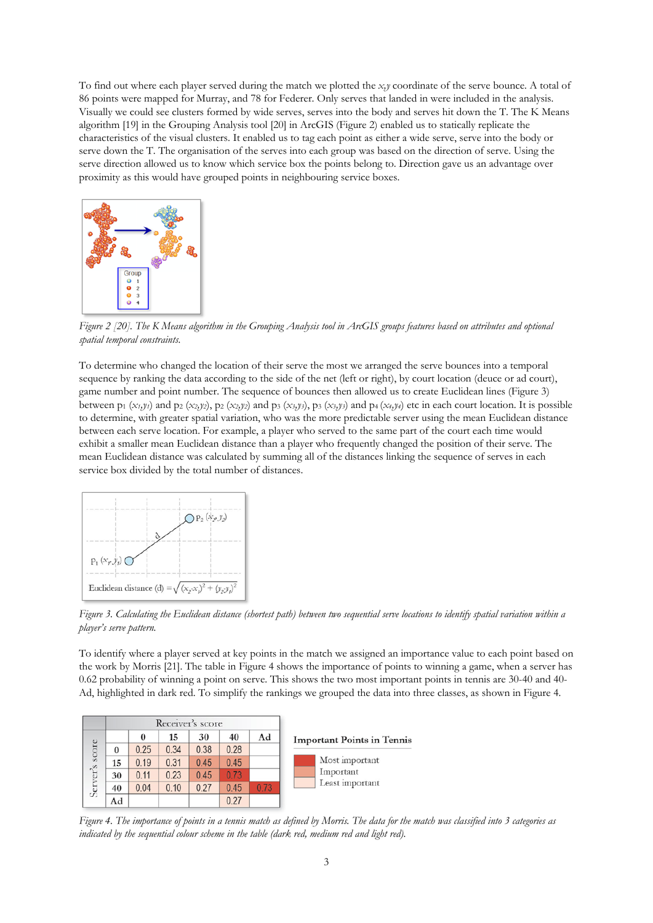To find out where each player served during the match we plotted the *x,y* coordinate of the serve bounce. A total of 86 points were mapped for Murray, and 78 for Federer. Only serves that landed in were included in the analysis. Visually we could see clusters formed by wide serves, serves into the body and serves hit down the T. The K Means algorithm [19] in the Grouping Analysis tool [20] in ArcGIS (Figure 2) enabled us to statically replicate the characteristics of the visual clusters. It enabled us to tag each point as either a wide serve, serve into the body or serve down the T. The organisation of the serves into each group was based on the direction of serve. Using the serve direction allowed us to know which service box the points belong to. Direction gave us an advantage over proximity as this would have grouped points in neighbouring service boxes.



*Figure 2 [20]. The K Means algorithm in the Grouping Analysis tool in ArcGIS groups features based on attributes and optional spatial temporal constraints.* 

To determine who changed the location of their serve the most we arranged the serve bounces into a temporal sequence by ranking the data according to the side of the net (left or right), by court location (deuce or ad court), game number and point number. The sequence of bounces then allowed us to create Euclidean lines (Figure 3) between  $p_1$  ( $x_1, y_1$ ) and  $p_2$  ( $x_2, y_2$ ),  $p_2$  ( $x_2, y_2$ ) and  $p_3$  ( $x_3, y_3$ ),  $p_3$  ( $x_3, y_3$ ) and  $p_4$  ( $x_4, y_4$ ) etc in each court location. It is possible to determine, with greater spatial variation, who was the more predictable server using the mean Euclidean distance between each serve location. For example, a player who served to the same part of the court each time would exhibit a smaller mean Euclidean distance than a player who frequently changed the position of their serve. The mean Euclidean distance was calculated by summing all of the distances linking the sequence of serves in each service box divided by the total number of distances.



*Figure 3. Calculating the Euclidean distance (shortest path) between two sequential serve locations to identify spatial variation within a player's serve pattern.*

To identify where a player served at key points in the match we assigned an importance value to each point based on the work by Morris [21]. The table in Figure 4 shows the importance of points to winning a game, when a server has 0.62 probability of winning a point on serve. This shows the two most important points in tennis are 30-40 and 40- Ad, highlighted in dark red. To simplify the rankings we grouped the data into three classes, as shown in Figure 4.

|                | Receiver's score |      |      |      |      |      |                                                |
|----------------|------------------|------|------|------|------|------|------------------------------------------------|
|                |                  | 0    | 15   | 30   | 40   | Ad   | <b>Important Points in Tennis</b>              |
| Server's score | 0                | 0.25 | 0.34 | 0.38 | 0.28 |      | Most important<br>Important<br>Least important |
|                | 15               | 0.19 | 0.31 | 0.45 | 0.45 |      |                                                |
|                | 30               | 0.11 | 0.23 | 0.45 | 0.73 |      |                                                |
|                | 40               | 0.04 | 0.10 | 0.27 | 0.45 | 0.73 |                                                |
|                | Ad               |      |      |      | 0.27 |      |                                                |

*Figure 4. The importance of points in a tennis match as defined by Morris. The data for the match was classified into 3 categories as indicated by the sequential colour scheme in the table (dark red, medium red and light red).*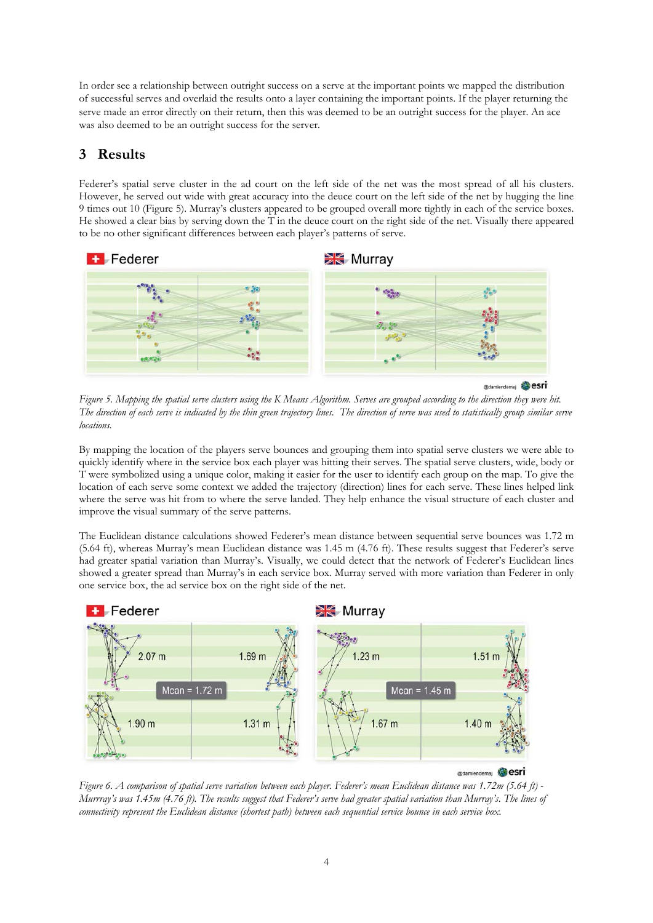In order see a relationship between outright success on a serve at the important points we mapped the distribution of successful serves and overlaid the results onto a layer containing the important points. If the player returning the serve made an error directly on their return, then this was deemed to be an outright success for the player. An ace was also deemed to be an outright success for the server.

# **3 Results**

Federer's spatial serve cluster in the ad court on the left side of the net was the most spread of all his clusters. However, he served out wide with great accuracy into the deuce court on the left side of the net by hugging the line 9 times out 10 (Figure 5). Murray's clusters appeared to be grouped overall more tightly in each of the service boxes. He showed a clear bias by serving down the T in the deuce court on the right side of the net. Visually there appeared to be no other significant differences between each player's patterns of serve.



*Figure 5. Mapping the spatial serve clusters using the K Means Algorithm. Serves are grouped according to the direction they were hit. The direction of each serve is indicated by the thin green trajectory lines. The direction of serve was used to statistically group similar serve locations.* 

By mapping the location of the players serve bounces and grouping them into spatial serve clusters we were able to quickly identify where in the service box each player was hitting their serves. The spatial serve clusters, wide, body or T were symbolized using a unique color, making it easier for the user to identify each group on the map. To give the location of each serve some context we added the trajectory (direction) lines for each serve. These lines helped link where the serve was hit from to where the serve landed. They help enhance the visual structure of each cluster and improve the visual summary of the serve patterns.

The Euclidean distance calculations showed Federer's mean distance between sequential serve bounces was 1.72 m (5.64 ft), whereas Murray's mean Euclidean distance was 1.45 m (4.76 ft). These results suggest that Federer's serve had greater spatial variation than Murray's. Visually, we could detect that the network of Federer's Euclidean lines showed a greater spread than Murray's in each service box. Murray served with more variation than Federer in only one service box, the ad service box on the right side of the net.



*Figure 6. A comparison of spatial serve variation between each player. Federer's mean Euclidean distance was 1.72m (5.64 ft) - Murrray's was 1.45m (4.76 ft). The results suggest that Federer's serve had greater spatial variation than Murray's*. *The lines of connectivity represent the Euclidean distance (shortest path) between each sequential service bounce in each service box.*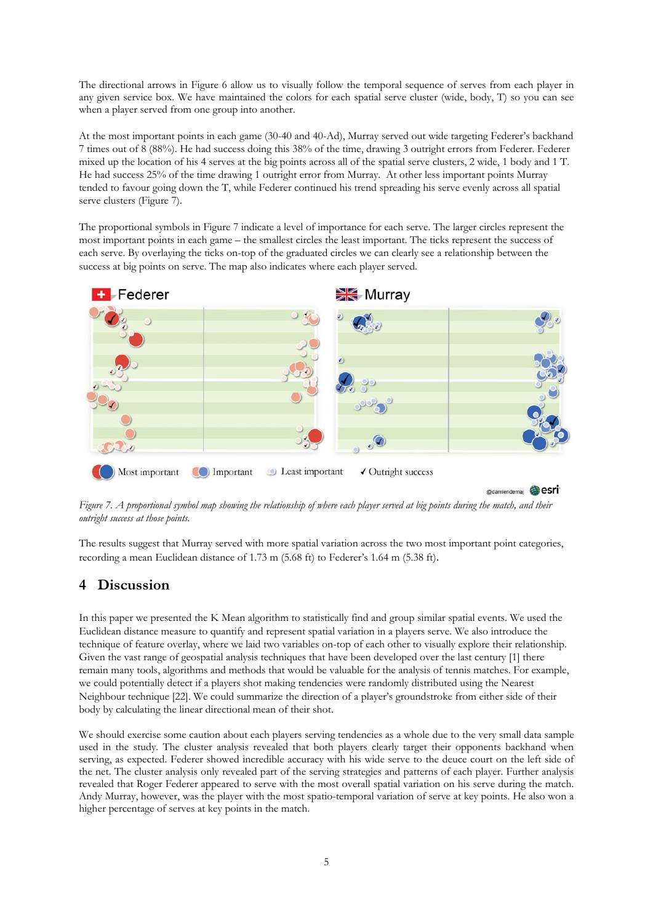The directional arrows in Figure 6 allow us to visually follow the temporal sequence of serves from each player in any given service box. We have maintained the colors for each spatial serve cluster (wide, body, T) so you can see when a player served from one group into another.

At the most important points in each game (30-40 and 40-Ad), Murray served out wide targeting Federer's backhand 7 times out of 8 (88%). He had success doing this 38% of the time, drawing 3 outright errors from Federer. Federer mixed up the location of his 4 serves at the big points across all of the spatial serve clusters, 2 wide, 1 body and 1 T. He had success 25% of the time drawing 1 outright error from Murray. At other less important points Murray tended to favour going down the T, while Federer continued his trend spreading his serve evenly across all spatial serve clusters (Figure 7).

The proportional symbols in Figure 7 indicate a level of importance for each serve. The larger circles represent the most important points in each game – the smallest circles the least important. The ticks represent the success of each serve. By overlaying the ticks on-top of the graduated circles we can clearly see a relationship between the success at big points on serve. The map also indicates where each player served.



*Figure 7. A proportional symbol map showing the relationship of where each player served at big points during the match, and their outright success at those points.*

The results suggest that Murray served with more spatial variation across the two most important point categories, recording a mean Euclidean distance of 1.73 m (5.68 ft) to Federer's 1.64 m (5.38 ft).

## **4 Discussion**

In this paper we presented the K Mean algorithm to statistically find and group similar spatial events. We used the Euclidean distance measure to quantify and represent spatial variation in a players serve. We also introduce the technique of feature overlay, where we laid two variables on-top of each other to visually explore their relationship. Given the vast range of geospatial analysis techniques that have been developed over the last century [1] there remain many tools, algorithms and methods that would be valuable for the analysis of tennis matches. For example, we could potentially detect if a players shot making tendencies were randomly distributed using the Nearest Neighbour technique [22]. We could summarize the direction of a player's groundstroke from either side of their body by calculating the linear directional mean of their shot.

We should exercise some caution about each players serving tendencies as a whole due to the very small data sample used in the study. The cluster analysis revealed that both players clearly target their opponents backhand when serving, as expected. Federer showed incredible accuracy with his wide serve to the deuce court on the left side of the net. The cluster analysis only revealed part of the serving strategies and patterns of each player. Further analysis revealed that Roger Federer appeared to serve with the most overall spatial variation on his serve during the match. Andy Murray, however, was the player with the most spatio-temporal variation of serve at key points. He also won a higher percentage of serves at key points in the match.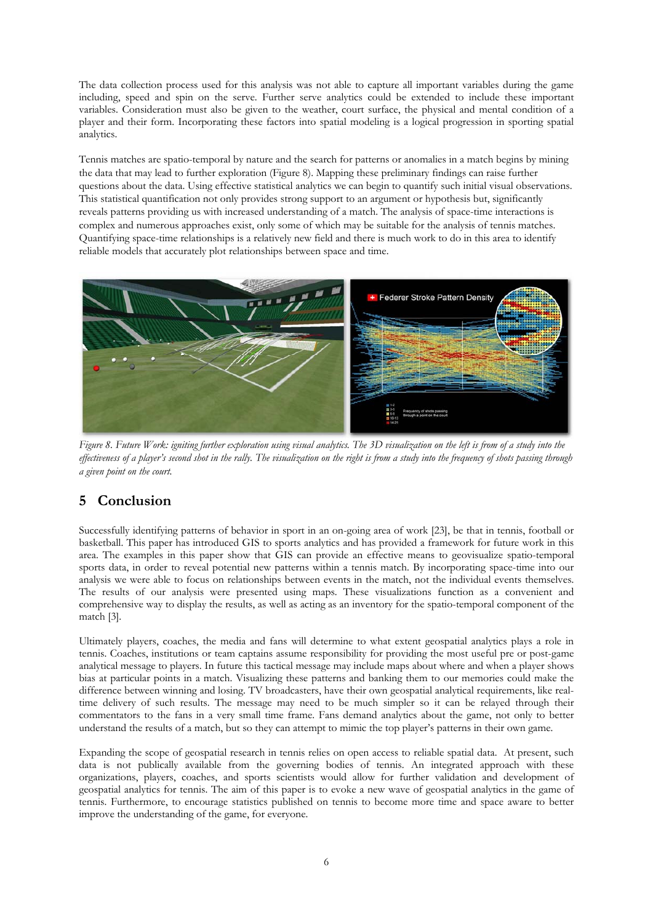The data collection process used for this analysis was not able to capture all important variables during the game including, speed and spin on the serve. Further serve analytics could be extended to include these important variables. Consideration must also be given to the weather, court surface, the physical and mental condition of a player and their form. Incorporating these factors into spatial modeling is a logical progression in sporting spatial analytics.

Tennis matches are spatio-temporal by nature and the search for patterns or anomalies in a match begins by mining the data that may lead to further exploration (Figure 8). Mapping these preliminary findings can raise further questions about the data. Using effective statistical analytics we can begin to quantify such initial visual observations. This statistical quantification not only provides strong support to an argument or hypothesis but, significantly reveals patterns providing us with increased understanding of a match. The analysis of space-time interactions is complex and numerous approaches exist, only some of which may be suitable for the analysis of tennis matches. Quantifying space-time relationships is a relatively new field and there is much work to do in this area to identify reliable models that accurately plot relationships between space and time.



*Figure 8. Future Work: igniting further exploration using visual analytics. The 3D visualization on the left is from of a study into the effectiveness of a player's second shot in the rally. The visualization on the right is from a study into the frequency of shots passing through a given point on the court.* 

## **5 Conclusion**

Successfully identifying patterns of behavior in sport in an on-going area of work [23], be that in tennis, football or basketball. This paper has introduced GIS to sports analytics and has provided a framework for future work in this area. The examples in this paper show that GIS can provide an effective means to geovisualize spatio-temporal sports data, in order to reveal potential new patterns within a tennis match. By incorporating space-time into our analysis we were able to focus on relationships between events in the match, not the individual events themselves. The results of our analysis were presented using maps. These visualizations function as a convenient and comprehensive way to display the results, as well as acting as an inventory for the spatio-temporal component of the match [3].

Ultimately players, coaches, the media and fans will determine to what extent geospatial analytics plays a role in tennis. Coaches, institutions or team captains assume responsibility for providing the most useful pre or post-game analytical message to players. In future this tactical message may include maps about where and when a player shows bias at particular points in a match. Visualizing these patterns and banking them to our memories could make the difference between winning and losing. TV broadcasters, have their own geospatial analytical requirements, like realtime delivery of such results. The message may need to be much simpler so it can be relayed through their commentators to the fans in a very small time frame. Fans demand analytics about the game, not only to better understand the results of a match, but so they can attempt to mimic the top player's patterns in their own game.

Expanding the scope of geospatial research in tennis relies on open access to reliable spatial data. At present, such data is not publically available from the governing bodies of tennis. An integrated approach with these organizations, players, coaches, and sports scientists would allow for further validation and development of geospatial analytics for tennis. The aim of this paper is to evoke a new wave of geospatial analytics in the game of tennis. Furthermore, to encourage statistics published on tennis to become more time and space aware to better improve the understanding of the game, for everyone.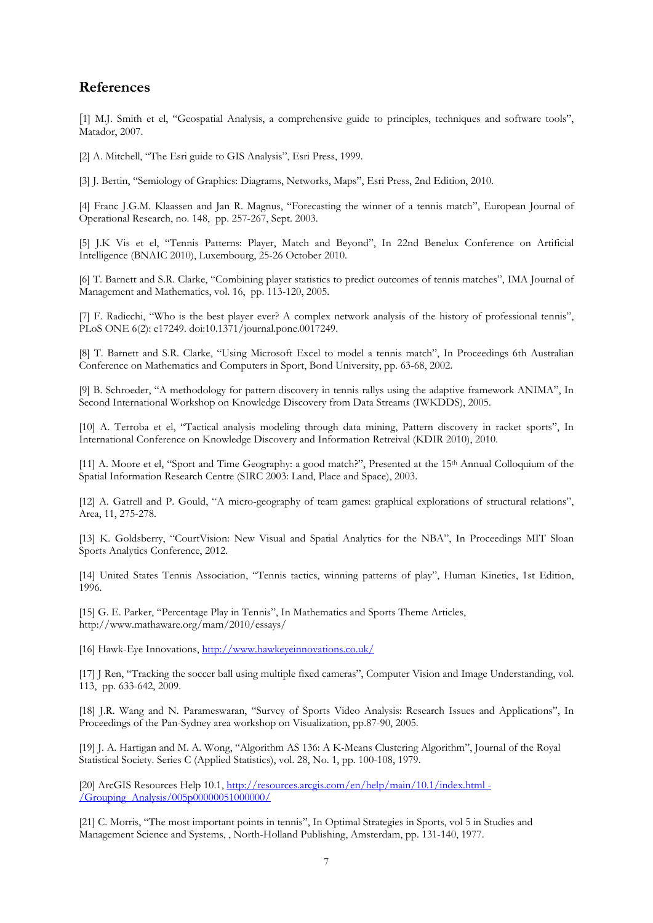## **References**

[1] M.J. Smith et el, "Geospatial Analysis, a comprehensive guide to principles, techniques and software tools", Matador, 2007.

[2] A. Mitchell, "The Esri guide to GIS Analysis", Esri Press, 1999.

[3] J. Bertin, "Semiology of Graphics: Diagrams, Networks, Maps", Esri Press, 2nd Edition, 2010.

[4] Franc J.G.M. Klaassen and Jan R. Magnus, "Forecasting the winner of a tennis match", European Journal of Operational Research, no. 148, pp. 257-267, Sept. 2003.

[5] J.K Vis et el, "Tennis Patterns: Player, Match and Beyond", In 22nd Benelux Conference on Artificial Intelligence (BNAIC 2010), Luxembourg, 25-26 October 2010.

[6] T. Barnett and S.R. Clarke, "Combining player statistics to predict outcomes of tennis matches", IMA Journal of Management and Mathematics, vol. 16, pp. 113-120, 2005.

[7] F. Radicchi, "Who is the best player ever? A complex network analysis of the history of professional tennis", PLoS ONE 6(2): e17249. doi:10.1371/journal.pone.0017249.

[8] T. Barnett and S.R. Clarke, "Using Microsoft Excel to model a tennis match", In Proceedings 6th Australian Conference on Mathematics and Computers in Sport, Bond University, pp. 63-68, 2002.

[9] B. Schroeder, "A methodology for pattern discovery in tennis rallys using the adaptive framework ANIMA", In Second International Workshop on Knowledge Discovery from Data Streams (IWKDDS), 2005.

[10] A. Terroba et el, "Tactical analysis modeling through data mining, Pattern discovery in racket sports", In International Conference on Knowledge Discovery and Information Retreival (KDIR 2010), 2010.

[11] A. Moore et el, "Sport and Time Geography: a good match?", Presented at the 15th Annual Colloquium of the Spatial Information Research Centre (SIRC 2003: Land, Place and Space), 2003.

[12] A. Gatrell and P. Gould, "A micro-geography of team games: graphical explorations of structural relations", Area, 11, 275-278.

[13] K. Goldsberry, "CourtVision: New Visual and Spatial Analytics for the NBA", In Proceedings MIT Sloan Sports Analytics Conference, 2012.

[14] United States Tennis Association, "Tennis tactics, winning patterns of play", Human Kinetics, 1st Edition, 1996.

[15] G. E. Parker, "Percentage Play in Tennis", In Mathematics and Sports Theme Articles, http://www.mathaware.org/mam/2010/essays/

[16] Hawk-Eye Innovations, http://www.hawkeyeinnovations.co.uk/

[17] J Ren, "Tracking the soccer ball using multiple fixed cameras", Computer Vision and Image Understanding, vol. 113, pp. 633-642, 2009.

[18] J.R. Wang and N. Parameswaran, "Survey of Sports Video Analysis: Research Issues and Applications", In Proceedings of the Pan-Sydney area workshop on Visualization, pp.87-90, 2005.

[19] J. A. Hartigan and M. A. Wong, "Algorithm AS 136: A K-Means Clustering Algorithm", Journal of the Royal Statistical Society. Series C (Applied Statistics), vol. 28, No. 1, pp. 100-108, 1979.

[20] ArcGIS Resources Help 10.1, http://resources.arcgis.com/en/help/main/10.1/index.html -/Grouping\_Analysis/005p00000051000000/

[21] C. Morris, "The most important points in tennis", In Optimal Strategies in Sports, vol 5 in Studies and Management Science and Systems, , North-Holland Publishing, Amsterdam, pp. 131-140, 1977.